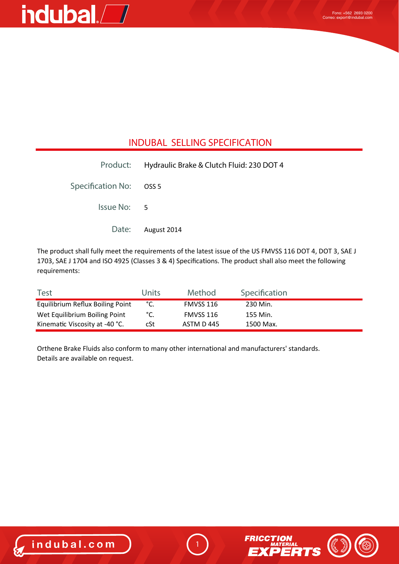### indubal.<sup>7</sup>

#### **INDUBAL SELLING SPECIFICATION**

|                         | Product: Hydraulic Brake & Clutch Fluid: 230 DOT 4 |
|-------------------------|----------------------------------------------------|
| Specification No: OSS 5 |                                                    |
| Issue No: 5             |                                                    |
|                         | Date: August 2014                                  |

The product shall fully meet the requirements of the latest issue of the US FMVSS 116 DOT 4, DOT 3, SAE J 1703, SAE J 1704 and ISO 4925 (Classes 3 & 4) Specifications. The product shall also meet the following requirements:

| <b>Test</b>                      | Units | Method     | Specification |  |
|----------------------------------|-------|------------|---------------|--|
| Equilibrium Reflux Boiling Point | °C.   | FMVSS 116  | 230 Min.      |  |
| Wet Equilibrium Boiling Point    | °C.   | FMVSS 116  | 155 Min.      |  |
| Kinematic Viscosity at -40 °C.   | cSt   | ASTM D 445 | 1500 Max.     |  |

Orthene Brake Fluids also conform to many other international and manufacturers' standards. Details are available on request.



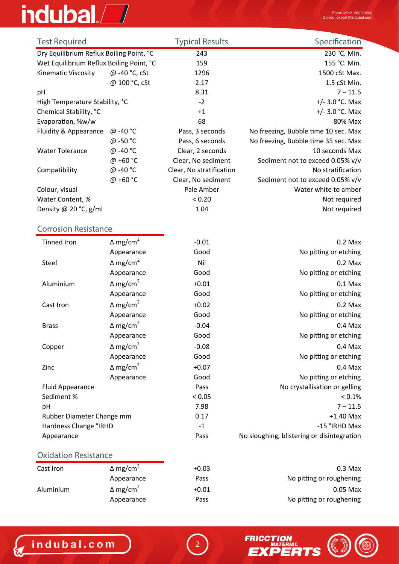# indubal.<sup>7</sup>

| <b>Test Required</b>                     |                    | <b>Typical Results</b>   | Specification                        |
|------------------------------------------|--------------------|--------------------------|--------------------------------------|
| Dry Equilibrium Reflux Boiling Point, °C |                    | 243                      | 230 °C. Min.                         |
| Wet Equilibrium Reflux Boiling Point, °C |                    | 159                      | 155 °C. Min.                         |
| Kinematic Viscosity                      | @ -40 °C, cSt      | 1296                     | 1500 cSt Max.                        |
|                                          | @ 100 °C, cSt      | 2.17                     | 1.5 cSt Min.                         |
| pH                                       |                    | 8.31                     | $7 - 11.5$                           |
| High Temperature Stability, °C           |                    | $-2$                     | +/- $3.0$ °C. Max                    |
| Chemical Stability, °C                   |                    | $+1$                     | +/- $3.0$ °C. Max                    |
| Evaporation, %w/w                        |                    | 68                       | 80% Max                              |
| Fluidity & Appearance                    | @ -40 °C           | Pass, 3 seconds          | No freezing, Bubble time 10 sec. Max |
|                                          | @ -50 °C           | Pass, 6 seconds          | No freezing, Bubble time 35 sec. Max |
| <b>Water Tolerance</b>                   | @ -40 °C           | Clear, 2 seconds         | 10 seconds Max                       |
|                                          | @ +60 $^{\circ}$ C | Clear, No sediment       | Sediment not to exceed 0.05% v/v     |
| Compatibility                            | @ -40 °C           | Clear, No stratification | No stratification                    |
|                                          | @ +60 °C           | Clear, No sediment       | Sediment not to exceed 0.05% v/v     |
| Colour, visual                           |                    | Pale Amber               | Water white to amber                 |
| Water Content, %                         |                    | < 0.20                   | Not required                         |
| Density @ 20 °C, $g/ml$                  |                    | 1.04                     | Not required                         |

### **Corrosion Resistance**

| <b>Tinned Iron</b>        | $\Delta$ mg/cm <sup>2</sup> | $-0.01$ | $0.2$ Max                                  |
|---------------------------|-----------------------------|---------|--------------------------------------------|
|                           | Appearance                  | Good    | No pitting or etching                      |
| Steel                     | $\Delta$ mg/cm <sup>2</sup> | Nil     | $0.2$ Max                                  |
|                           | Appearance                  | Good    | No pitting or etching                      |
| Aluminium                 | $\Delta$ mg/cm <sup>2</sup> | $+0.01$ | $0.1$ Max                                  |
|                           | Appearance                  | Good    | No pitting or etching                      |
| Cast Iron                 | $\Delta$ mg/cm <sup>2</sup> | $+0.02$ | $0.2$ Max                                  |
|                           | Appearance                  | Good    | No pitting or etching                      |
| <b>Brass</b>              | $\Delta$ mg/cm <sup>2</sup> | $-0.04$ | $0.4$ Max                                  |
|                           | Appearance                  | Good    | No pitting or etching                      |
| Copper                    | $\Delta$ mg/cm <sup>2</sup> | $-0.08$ | $0.4$ Max                                  |
|                           | Appearance                  | Good    | No pitting or etching                      |
| Zinc                      | $\Delta$ mg/cm <sup>2</sup> | $+0.07$ | $0.4$ Max                                  |
|                           | Appearance                  | Good    | No pitting or etching                      |
| <b>Fluid Appearance</b>   |                             | Pass    | No crystallisation or gelling              |
| Sediment %                |                             | < 0.05  | $< 0.1\%$                                  |
| pH                        |                             | 7.98    | $7 - 11.5$                                 |
| Rubber Diameter Change mm |                             | 0.17    | $+1.40$ Max                                |
| Hardness Change °IRHD     |                             | $-1$    | -15 °IRHD Max                              |
| Appearance                |                             | Pass    | No sloughing, blistering or disintegration |
|                           |                             |         |                                            |

#### **Oxidation Resistance**

| Cast Iron | $\Delta$ mg/cm <sup>2</sup> | $+0.03$ |                          |
|-----------|-----------------------------|---------|--------------------------|
|           | Appearance                  | Pass    | No pitting or roughening |
| Aluminium | $\Delta$ mg/cm <sup>2</sup> | $+0.01$ | $0.05$ Max               |
|           | Appearance                  | Pass    | No pitting or roughening |

2